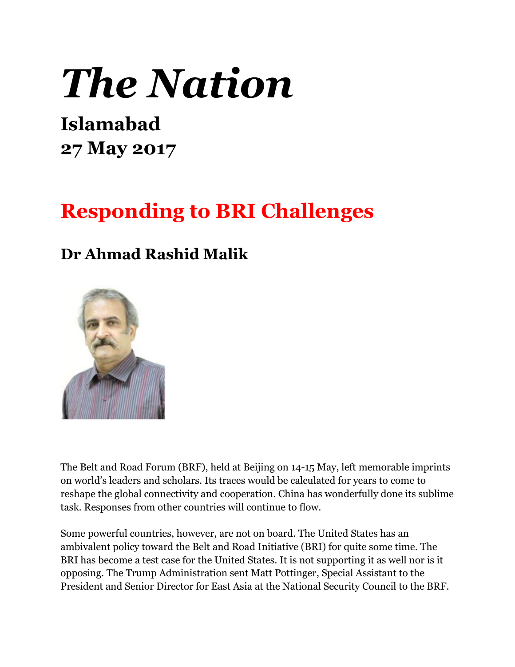## *The Nation*

## **Islamabad 27 May 2017**

## **Responding to BRI Challenges**

## **Dr Ahmad Rashid Malik**



The Belt and Road Forum (BRF), held at Beijing on 14-15 May, left memorable imprints on world's leaders and scholars. Its traces would be calculated for years to come to reshape the global connectivity and cooperation. China has wonderfully done its sublime task. Responses from other countries will continue to flow.

Some powerful countries, however, are not on board. The United States has an ambivalent policy toward the Belt and Road Initiative (BRI) for quite some time. The BRI has become a test case for the United States. It is not supporting it as well nor is it opposing. The Trump Administration sent Matt Pottinger, Special Assistant to the President and Senior Director for East Asia at the National Security Council to the BRF.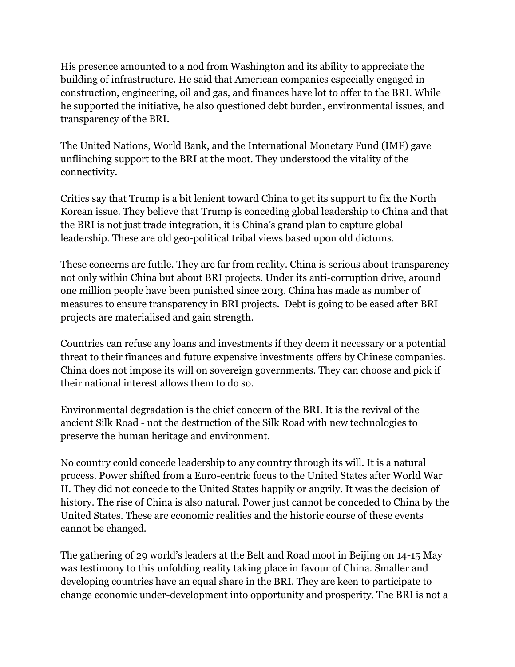His presence amounted to a nod from Washington and its ability to appreciate the building of infrastructure. He said that American companies especially engaged in construction, engineering, oil and gas, and finances have lot to offer to the BRI. While he supported the initiative, he also questioned debt burden, environmental issues, and transparency of the BRI.

The United Nations, World Bank, and the International Monetary Fund (IMF) gave unflinching support to the BRI at the moot. They understood the vitality of the connectivity.

Critics say that Trump is a bit lenient toward China to get its support to fix the North Korean issue. They believe that Trump is conceding global leadership to China and that the BRI is not just trade integration, it is China's grand plan to capture global leadership. These are old geo-political tribal views based upon old dictums.

These concerns are futile. They are far from reality. China is serious about transparency not only within China but about BRI projects. Under its anti-corruption drive, around one million people have been punished since 2013. China has made as number of measures to ensure transparency in BRI projects. Debt is going to be eased after BRI projects are materialised and gain strength.

Countries can refuse any loans and investments if they deem it necessary or a potential threat to their finances and future expensive investments offers by Chinese companies. China does not impose its will on sovereign governments. They can choose and pick if their national interest allows them to do so.

Environmental degradation is the chief concern of the BRI. It is the revival of the ancient Silk Road - not the destruction of the Silk Road with new technologies to preserve the human heritage and environment.

No country could concede leadership to any country through its will. It is a natural process. Power shifted from a Euro-centric focus to the United States after World War II. They did not concede to the United States happily or angrily. It was the decision of history. The rise of China is also natural. Power just cannot be conceded to China by the United States. These are economic realities and the historic course of these events cannot be changed.

The gathering of 29 world's leaders at the Belt and Road moot in Beijing on 14-15 May was testimony to this unfolding reality taking place in favour of China. Smaller and developing countries have an equal share in the BRI. They are keen to participate to change economic under-development into opportunity and prosperity. The BRI is not a